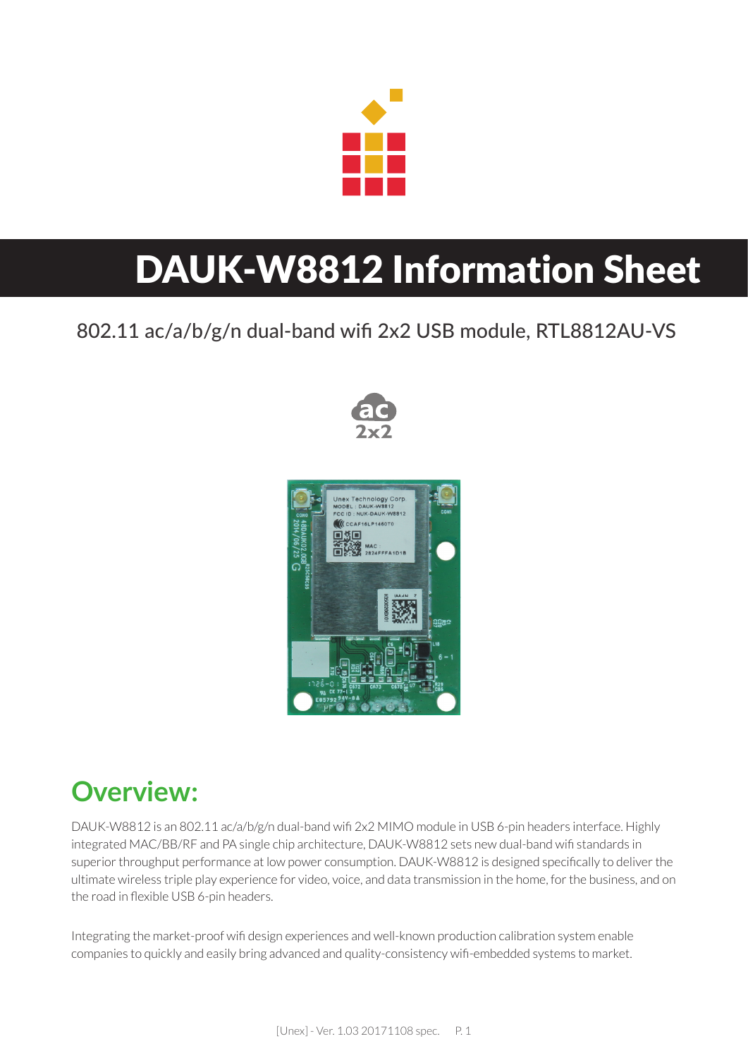

# DAUK-W8812 Information Sheet

#### 802.11 ac/a/b/g/n dual-band wifi 2x2 USB module, RTL8812AU-VS





#### **Overview:**

DAUK-W8812 is an 802.11 ac/a/b/g/n dual-band wifi 2x2 MIMO module in USB 6-pin headers interface. Highly integrated MAC/BB/RF and PA single chip architecture, DAUK-W8812 sets new dual-band wifi standards in superior throughput performance at low power consumption. DAUK-W8812 is designed specifically to deliver the ultimate wireless triple play experience for video, voice, and data transmission in the home, for the business, and on the road in flexible USB 6-pin headers.

Integrating the market-proof wifi design experiences and well-known production calibration system enable companies to quickly and easily bring advanced and quality-consistency wifi -embedded systems to market.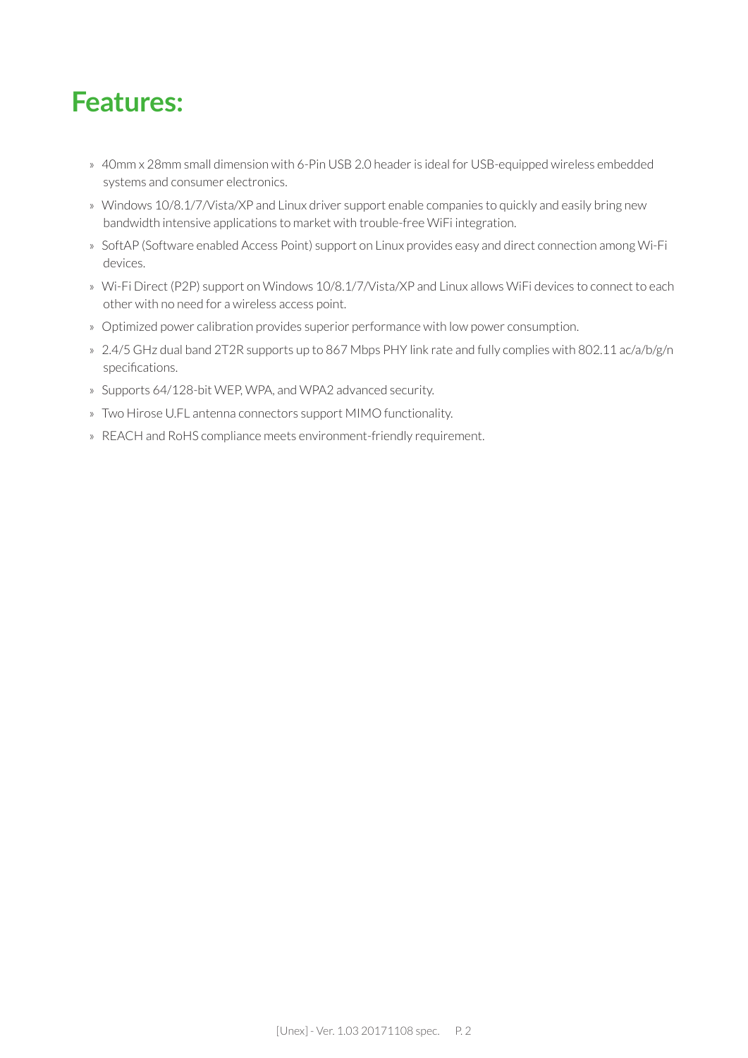#### **Features:**

- » 40mm x 28mm small dimension with 6-Pin USB 2.0 header is ideal for USB-equipped wireless embedded systems and consumer electronics.
- » Windows 10/8.1/7/Vista/XP and Linux driver support enable companies to quickly and easily bring new bandwidth intensive applications to market with trouble-free WiFi integration.
- » SoftAP (Software enabled Access Point) support on Linux provides easy and direct connection among Wi-Fi devices.
- » Wi-Fi Direct (P2P) support on Windows 10/8.1/7/Vista/XP and Linux allows WiFi devices to connect to each other with no need for a wireless access point.
- » Optimized power calibration provides superior performance with low power consumption.
- » 2.4/5 GHz dual band 2T2R supports up to 867 Mbps PHY link rate and fully complies with 802.11 ac/a/b/g/n specifications.
- » Supports 64/128-bit WEP, WPA, and WPA2 advanced security.
- » Two Hirose U.FL antenna connectors support MIMO functionality.
- » REACH and RoHS compliance meets environment-friendly requirement.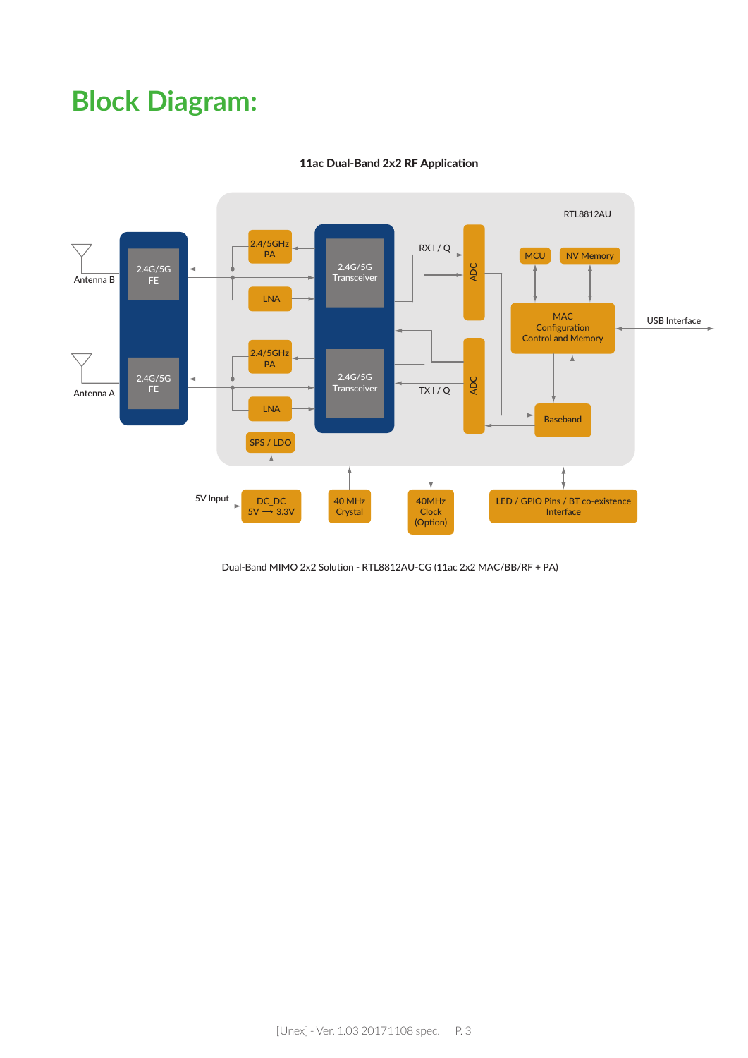### **Block Diagram:**



#### 11ac Dual-Band 2x2 RF Application

Dual-Band MIMO 2x2 Solution - RTL8812AU-CG (11ac 2x2 MAC/BB/RF + PA)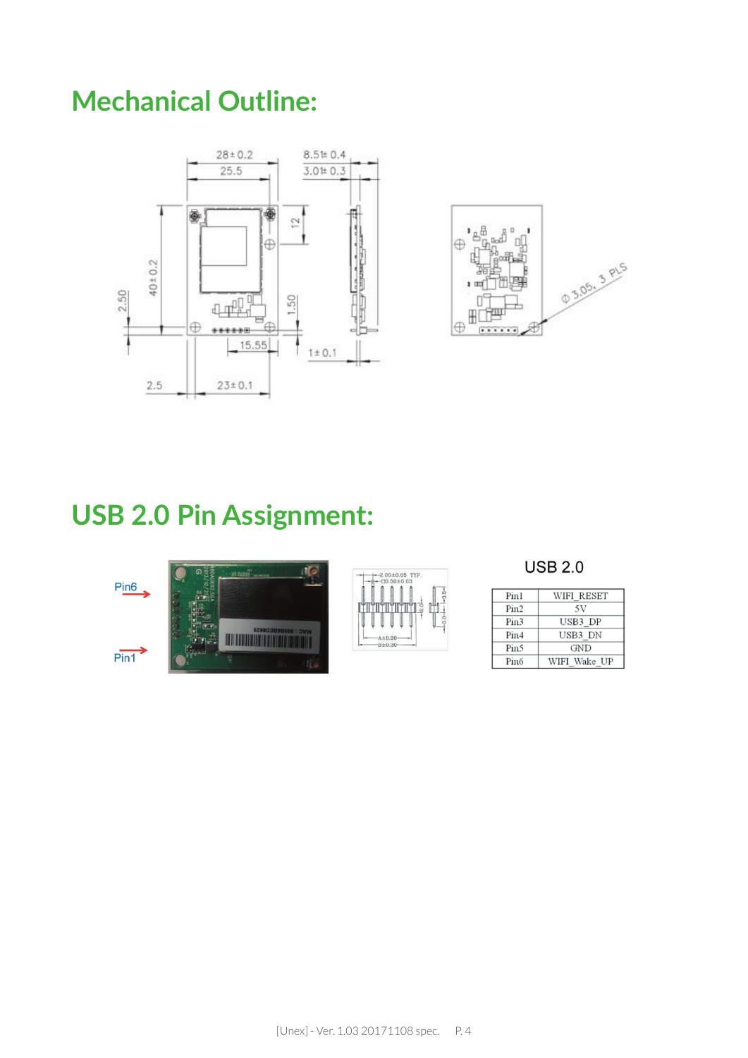### **Mechanical Outline:**





#### **USB 2.0 Pin Assignment:**



**USB 2.0** 

| Pin1             | WIFI RESET   |
|------------------|--------------|
| Pin2             | 5V           |
| Pin <sub>3</sub> | USB3 DP      |
| Pin4             | USB3 DN      |
| Pin <sub>5</sub> | <b>GND</b>   |
| Pin <sub>6</sub> | WIFI Wake UP |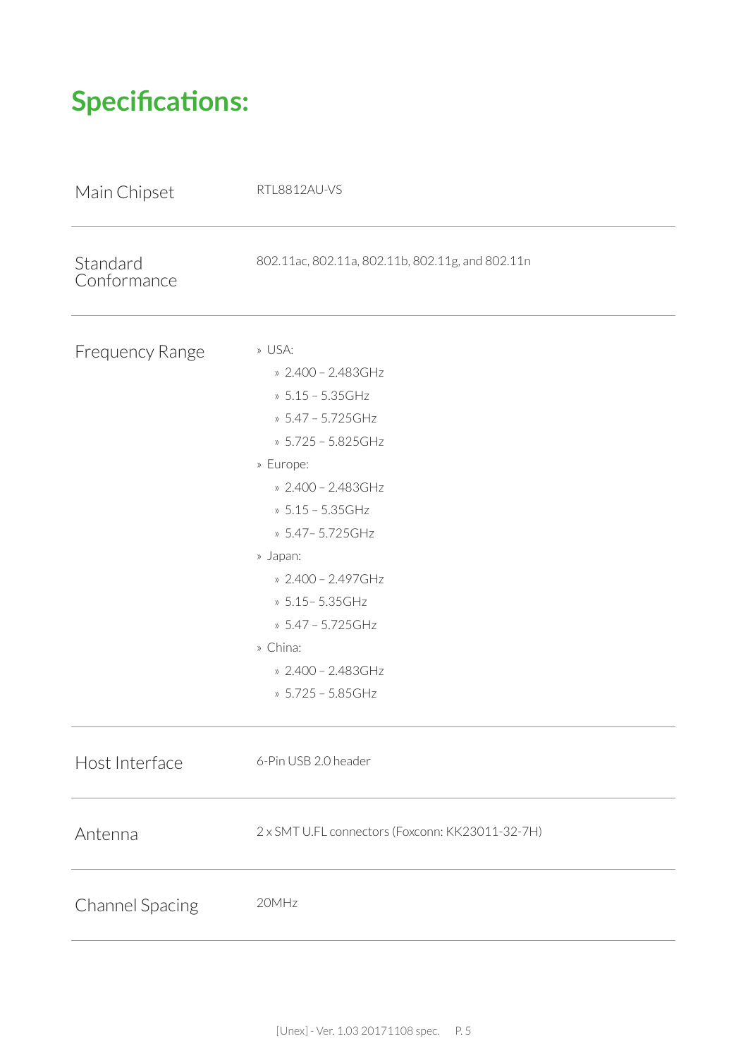# **Specifications:**

| Main Chipset            | RTL8812AU-VS                                                                                                                                                                                                                                                                                                   |
|-------------------------|----------------------------------------------------------------------------------------------------------------------------------------------------------------------------------------------------------------------------------------------------------------------------------------------------------------|
| Standard<br>Conformance | 802.11ac, 802.11a, 802.11b, 802.11g, and 802.11n                                                                                                                                                                                                                                                               |
| <b>Frequency Range</b>  | » USA:<br>» 2.400 - 2.483GHz<br>» $5.15 - 5.35$ GHz<br>» 5.47 - 5.725GHz<br>» 5.725 - 5.825GHz<br>» Europe:<br>» 2.400 - 2.483GHz<br>» 5.15 - 5.35GHz<br>» 5.47 - 5.725 GHz<br>» Japan:<br>» 2.400 - 2.497GHz<br>» 5.15 - 5.35 GHz<br>» 5.47 - 5.725GHz<br>» China:<br>» 2.400 - 2.483GHz<br>» 5.725 - 5.85GHz |
| Host Interface          | 6-Pin USB 2.0 header                                                                                                                                                                                                                                                                                           |
| Antenna                 | 2 x SMT U.FL connectors (Foxconn: KK23011-32-7H)                                                                                                                                                                                                                                                               |
| <b>Channel Spacing</b>  | 20MHz                                                                                                                                                                                                                                                                                                          |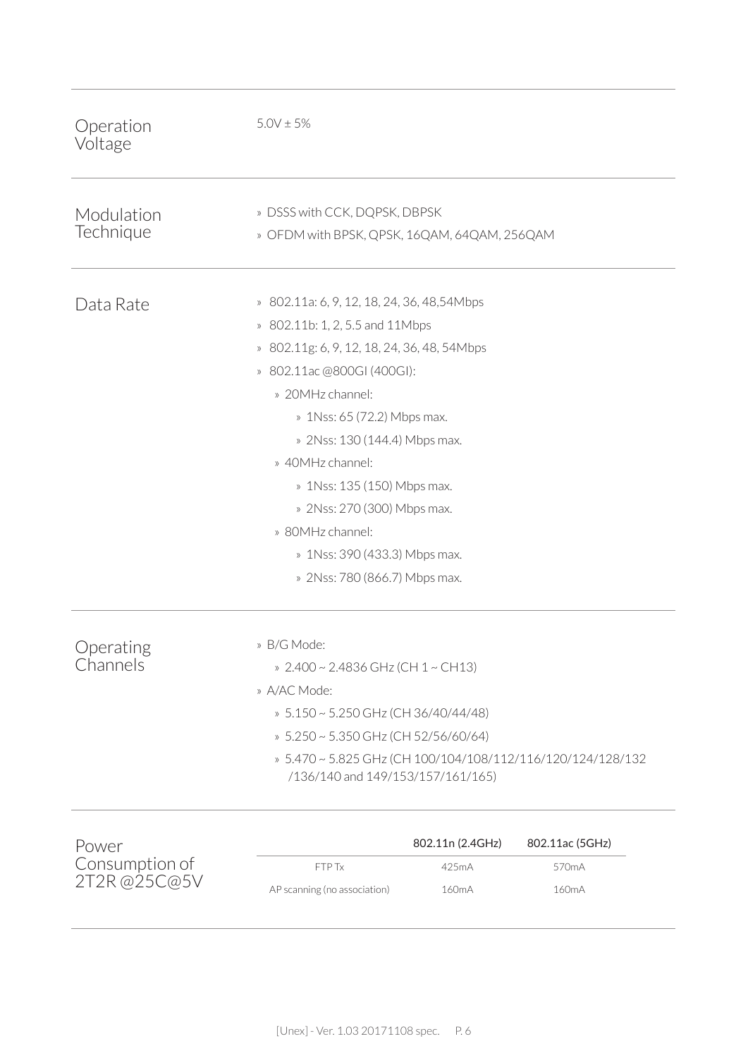| Operation<br>Voltage                   | $5.0V \pm 5%$                                                                                                                                                                                                                                                                                                                                                                                                           |                                                 |                                                             |
|----------------------------------------|-------------------------------------------------------------------------------------------------------------------------------------------------------------------------------------------------------------------------------------------------------------------------------------------------------------------------------------------------------------------------------------------------------------------------|-------------------------------------------------|-------------------------------------------------------------|
| Modulation<br>Technique                | » DSSS with CCK, DQPSK, DBPSK<br>» OFDM with BPSK, QPSK, 16QAM, 64QAM, 256QAM                                                                                                                                                                                                                                                                                                                                           |                                                 |                                                             |
| Data Rate                              | » 802.11a: 6, 9, 12, 18, 24, 36, 48, 54Mbps<br>» 802.11b: 1, 2, 5.5 and 11Mbps<br>» 802.11g: 6, 9, 12, 18, 24, 36, 48, 54Mbps<br>» 802.11ac @800GI (400GI):<br>» 20MHz channel:<br>» 1Nss: 65 (72.2) Mbps max.<br>» 2Nss: 130 (144.4) Mbps max.<br>» 40MHz channel:<br>» 1Nss: 135 (150) Mbps max.<br>» 2Nss: 270 (300) Mbps max.<br>» 80MHz channel:<br>» 1Nss: 390 (433.3) Mbps max.<br>» 2Nss: 780 (866.7) Mbps max. |                                                 |                                                             |
| Operating<br>Channels                  | » B/G Mode:<br>» 2.400 ~ 2.4836 GHz (CH 1 ~ CH13)<br>» A/AC Mode:<br>» 5.150 ~ 5.250 GHz (CH 36/40/44/48)<br>» 5.250 ~ 5.350 GHz (CH 52/56/60/64)<br>/136/140 and 149/153/157/161/165)                                                                                                                                                                                                                                  |                                                 | » 5.470 ~ 5.825 GHz (CH 100/104/108/112/116/120/124/128/132 |
| Power<br>Consumption of<br>2T2R@25C@5V | FTP Tx<br>AP scanning (no association)                                                                                                                                                                                                                                                                                                                                                                                  | 802.11n (2.4GHz)<br>425mA<br>160 <sub>m</sub> A | 802.11ac (5GHz)<br>570mA<br>160 <sub>m</sub> A              |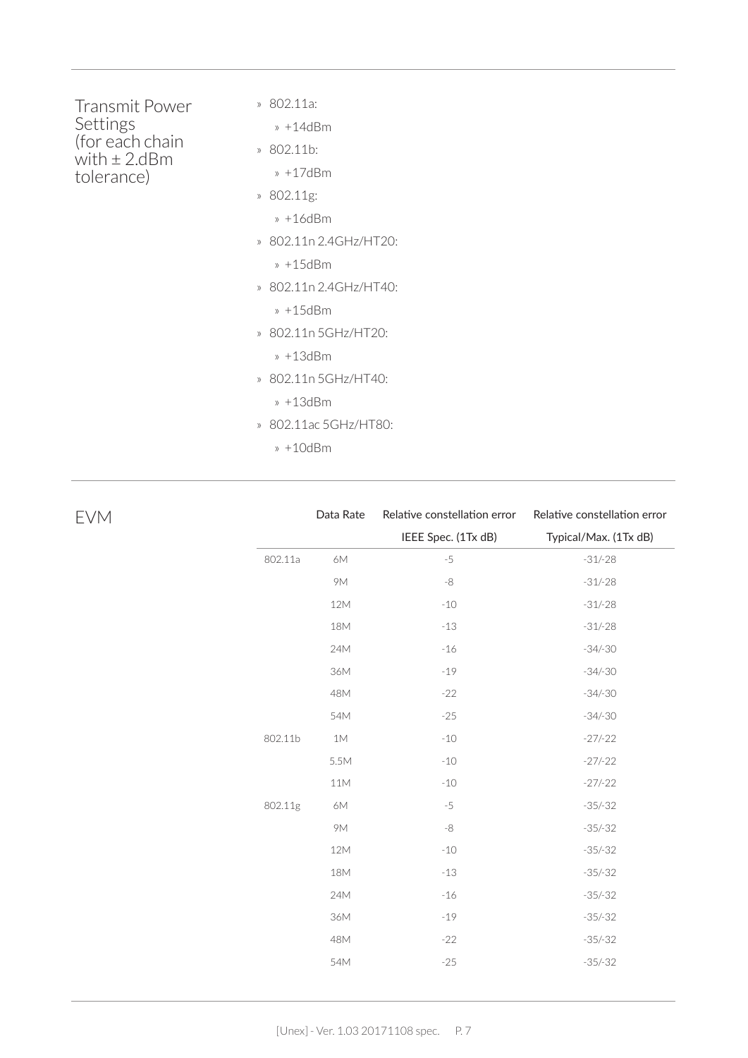| Transmit Power<br>Settings           | » 802.11a:                       |
|--------------------------------------|----------------------------------|
|                                      | » $+14$ d $Rm$                   |
| (for each chain<br>with $\pm 2$ .dBm | $\delta$ 802.11b:                |
| tolerance)                           | $* + 17dBm$                      |
|                                      | » 802.11g:                       |
|                                      | » $+16$ d $Bm$                   |
|                                      | » 802.11n 2.4GHz/HT20:           |
|                                      | $* + 15dBm$                      |
|                                      | » 802.11n 2.4GHz/HT40:           |
|                                      | » +15dBm                         |
|                                      | » 802.11n 5GHz/HT20:             |
|                                      | » $+13$ d $Bm$                   |
|                                      | » 802.11n 5GHz/HT40:             |
|                                      | » +13dBm                         |
|                                      | 802.11ac 5GHz/HT80:<br>$\rangle$ |
|                                      | » +10dBm                         |

| <b>EVM</b> |         | Data Rate | Relative constellation error | Relative constellation error |
|------------|---------|-----------|------------------------------|------------------------------|
|            |         |           | IEEE Spec. (1Tx dB)          | Typical/Max. (1Tx dB)        |
|            | 802.11a | 6M        | $-5$                         | $-31/-28$                    |
|            |         | <b>9M</b> | $-8$                         | $-31/-28$                    |
|            |         | 12M       | $-10$                        | $-31/-28$                    |
|            |         | 18M       | $-13$                        | $-31/-28$                    |
|            |         | 24M       | $-16$                        | $-34/-30$                    |
|            |         | 36M       | $-19$                        | $-34/-30$                    |
|            |         | 48M       | $-22$                        | $-34/-30$                    |
|            |         | 54M       | $-25$                        | $-34/-30$                    |
|            | 802.11b | 1M        | $-10$                        | $-27/-22$                    |
|            |         | 5.5M      | $-10$                        | $-27/-22$                    |
|            |         | 11M       | $-10$                        | $-27/-22$                    |
|            | 802.11g | 6M        | $-5$                         | $-35/-32$                    |
|            |         | <b>9M</b> | $-8$                         | $-35/-32$                    |
|            |         | 12M       | $-10$                        | $-35/-32$                    |
|            |         | 18M       | $-13$                        | $-35/-32$                    |
|            |         | 24M       | $-16$                        | $-35/-32$                    |
|            |         | 36M       | $-19$                        | $-35/-32$                    |
|            |         | 48M       | $-22$                        | $-35/-32$                    |
|            |         | 54M       | $-25$                        | $-35/-32$                    |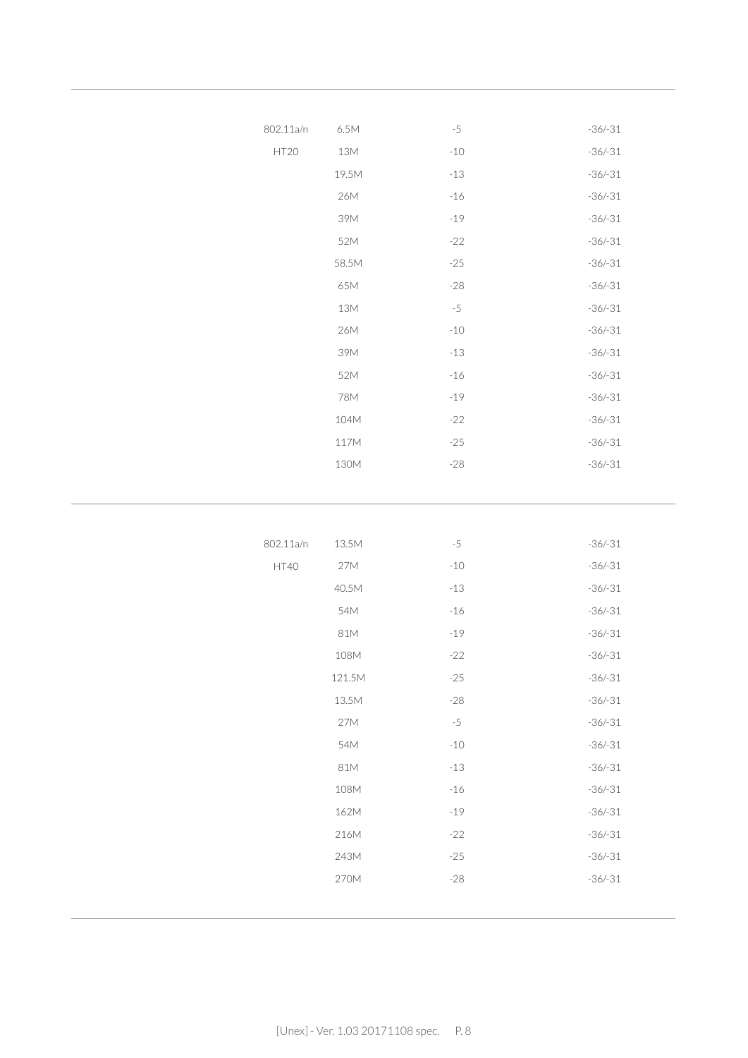| 802.11a/n | $6.5M$ | $-5$  | $-36/-31$ |
|-----------|--------|-------|-----------|
| HT20      | $13M$  | $-10$ | $-36/-31$ |
|           | 19.5M  | $-13$ | $-36/-31$ |
|           | 26M    | $-16$ | $-36/-31$ |
|           | 39M    | $-19$ | $-36/-31$ |
|           | 52M    | $-22$ | $-36/-31$ |
|           | 58.5M  | $-25$ | $-36/-31$ |
|           | 65M    | $-28$ | $-36/-31$ |
|           | 13M    | $-5$  | $-36/-31$ |
|           | 26M    | $-10$ | $-36/-31$ |
|           | 39M    | $-13$ | $-36/-31$ |
|           | 52M    | $-16$ | $-36/-31$ |
|           | 78M    | $-19$ | $-36/-31$ |
|           | 104M   | $-22$ | $-36/-31$ |
|           | 117M   | $-25$ | $-36/-31$ |
|           | 130M   | $-28$ | $-36/-31$ |
|           |        |       |           |
|           |        |       |           |
|           |        |       |           |
| 802.11a/n | 13.5M  | $-5$  | $-36/-31$ |
| HT40      | 27M    | $-10$ | $-36/-31$ |
|           | 40.5M  | $-13$ | $-36/-31$ |
|           | 54M    | $-16$ | $-36/-31$ |
|           | 81M    | $-19$ | $-36/-31$ |
|           | 108M   | $-22$ | $-36/-31$ |
|           | 121.5M | $-25$ | $-36/-31$ |
|           | 13.5M  | $-28$ | $-36/-31$ |
|           | 27M    | $-5$  | $-36/-31$ |
|           | 54M    | $-10$ | $-36/-31$ |
|           | 81M    | $-13$ | $-36/-31$ |
|           | 108M   | $-16$ | $-36/-31$ |
|           | 162M   | $-19$ | $-36/-31$ |
|           | 216M   | $-22$ | $-36/-31$ |
|           | 243M   | $-25$ | $-36/-31$ |
|           | 270M   | $-28$ | $-36/-31$ |
|           |        |       |           |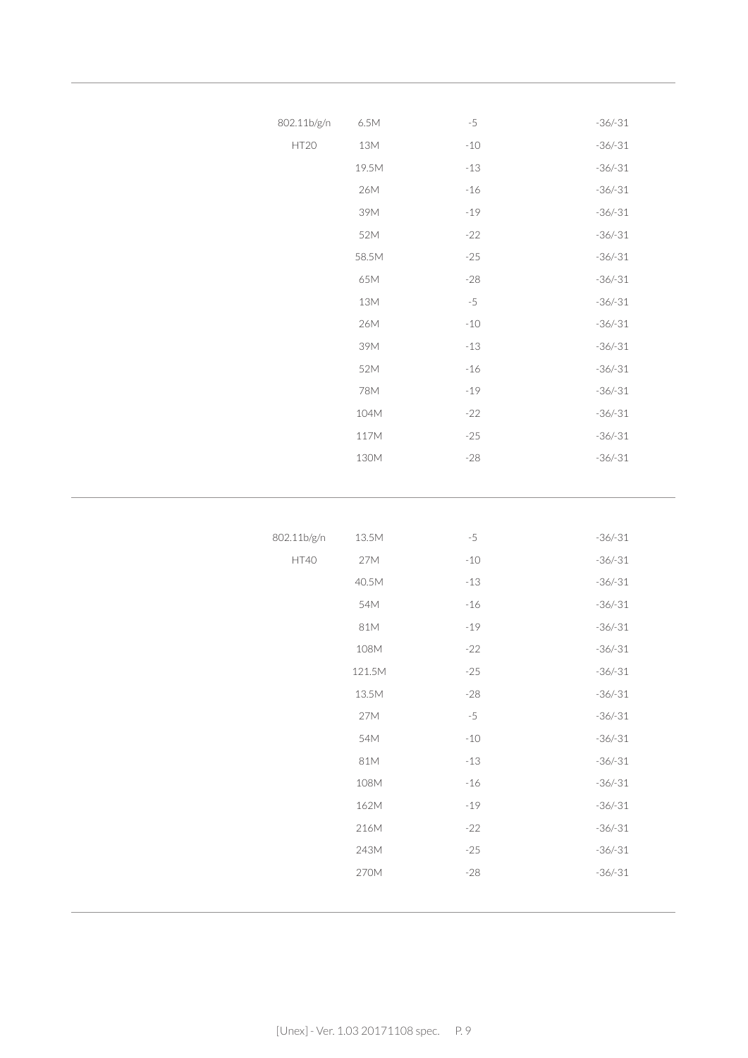| 802.11b/g/n      | 6.5M  | $-5$  | $-36/-31$ |
|------------------|-------|-------|-----------|
| HT <sub>20</sub> | 13M   | $-10$ | $-36/-31$ |
|                  | 19.5M | $-13$ | $-36/-31$ |
|                  | 26M   | $-16$ | $-36/-31$ |
|                  | 39M   | $-19$ | $-36/-31$ |
|                  | 52M   | $-22$ | $-36/-31$ |
|                  | 58.5M | $-25$ | $-36/-31$ |
|                  | 65M   | $-28$ | $-36/-31$ |
|                  | 13M   | $-5$  | $-36/-31$ |
|                  | 26M   | $-10$ | $-36/-31$ |
|                  | 39M   | $-13$ | $-36/-31$ |
|                  | 52M   | $-16$ | $-36/-31$ |
|                  | 78M   | $-19$ | $-36/-31$ |
|                  | 104M  | $-22$ | $-36/-31$ |
|                  | 117M  | $-25$ | $-36/-31$ |
|                  | 130M  | $-28$ | $-36/-31$ |
|                  |       |       |           |

| 802.11b/g/n | 13.5M  | $-5$  | $-36/-31$ |
|-------------|--------|-------|-----------|
| HT40        | 27M    | $-10$ | $-36/-31$ |
|             | 40.5M  | $-13$ | $-36/-31$ |
|             | 54M    | $-16$ | $-36/-31$ |
|             | 81M    | $-19$ | $-36/-31$ |
|             | 108M   | $-22$ | $-36/-31$ |
|             | 121.5M | $-25$ | $-36/-31$ |
|             | 13.5M  | $-28$ | $-36/-31$ |
|             | 27M    | $-5$  | $-36/-31$ |
|             | 54M    | $-10$ | $-36/-31$ |
|             | 81M    | $-13$ | $-36/-31$ |
|             | 108M   | $-16$ | $-36/-31$ |
|             | 162M   | $-19$ | $-36/-31$ |
|             | 216M   | $-22$ | $-36/-31$ |
|             | 243M   | $-25$ | $-36/-31$ |
|             | 270M   | $-28$ | $-36/-31$ |
|             |        |       |           |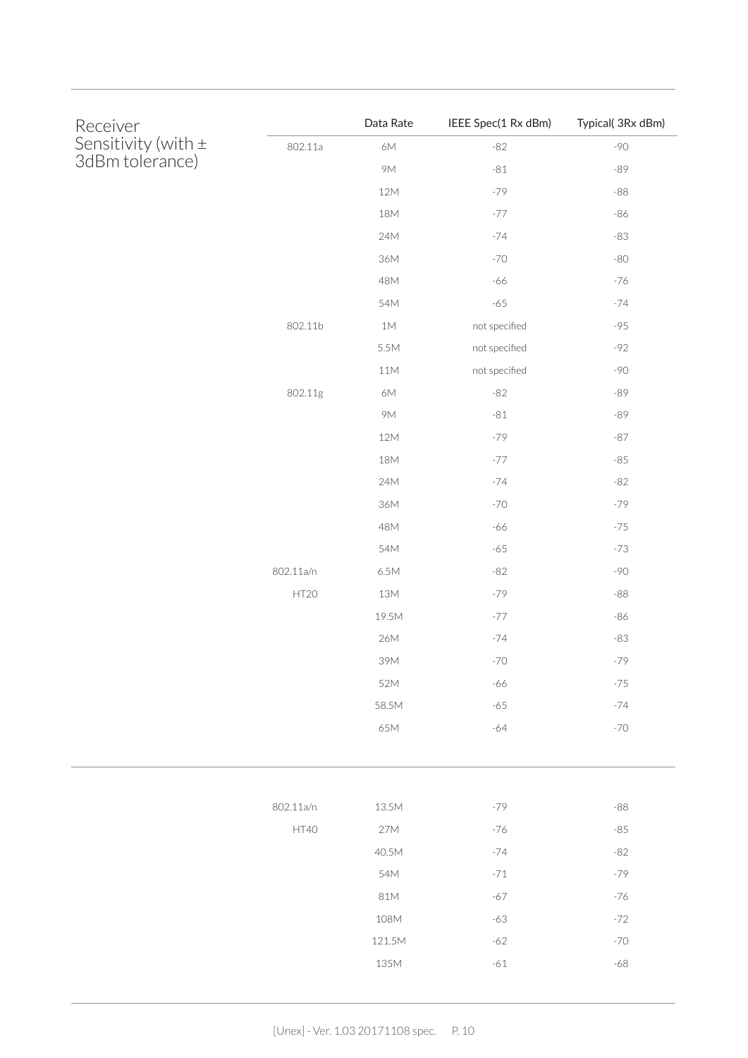| Receiver                               |           | Data Rate      | IEEE Spec(1 Rx dBm) | Typical( 3Rx dBm) |
|----------------------------------------|-----------|----------------|---------------------|-------------------|
| Sensitivity (with ±<br>3dBm tolerance) | 802.11a   | 6M             | $-82$               | $-90$             |
|                                        |           | <b>9M</b>      | $-81$               | $-89$             |
|                                        |           | $12M$          | $-79$               | $\mbox{--}88$     |
|                                        |           | $18\mathsf{M}$ | $-77$               | $-86$             |
|                                        |           | 24M            | $-74$               | $-83$             |
|                                        |           | $36M$          | $-70$               | $-80$             |
|                                        |           | 48M            | -66                 | $-76$             |
|                                        |           | 54M            | $-65$               | $-74$             |
|                                        | 802.11b   | $1\mathsf{M}$  | not specified       | $-95$             |
|                                        |           | 5.5M           | not specified       | $-92$             |
|                                        |           | $11M$          | not specified       | $-90$             |
|                                        | 802.11g   | $6\mathsf{M}$  | $-82$               | $-89$             |
|                                        |           | <b>9M</b>      | $-81$               | $-89$             |
|                                        |           | $12M$          | $-79$               | $-87$             |
|                                        |           | 18M            | $-77$               | $-85$             |
|                                        |           | 24M            | $-74$               | $-82$             |
|                                        |           | $36M$          | $-70$               | $-79$             |
|                                        |           | 48M            | -66                 | $-75$             |
|                                        |           | 54M            | $-65$               | $-73$             |
|                                        | 802.11a/n | $6.5M$         | $-82$               | $-90$             |
|                                        | HT20      | $13M$          | $-79$               | $-88\,$           |
|                                        |           | 19.5M          | $-77$               | $-86$             |
|                                        |           | 26M            | $-74$               | $-83$             |
|                                        |           | 39M            | $-70$               | $-79$             |
|                                        |           | 52M            | $-66$               | $-75$             |
|                                        |           | 58.5M          | $-65$               | $-74$             |
|                                        |           | 65M            | $-64$               | $-70$             |
|                                        |           |                |                     |                   |
|                                        | 802.11a/n | 13.5M          | $-79$               | $-88$             |
|                                        | HT40      | 27M            | $-76$               | $-85$             |
|                                        |           | 40.5M          | $-74$               | $-82$             |
|                                        |           | 54M            | $-71$               | $-79$             |
|                                        |           | 81M            | $-67$               | $-76$             |
|                                        |           | 108M           | $-63$               | $-72$             |
|                                        |           | 121.5M         | $-62$               | $-70$             |
|                                        |           | 135M           | $-61$               | $-68$             |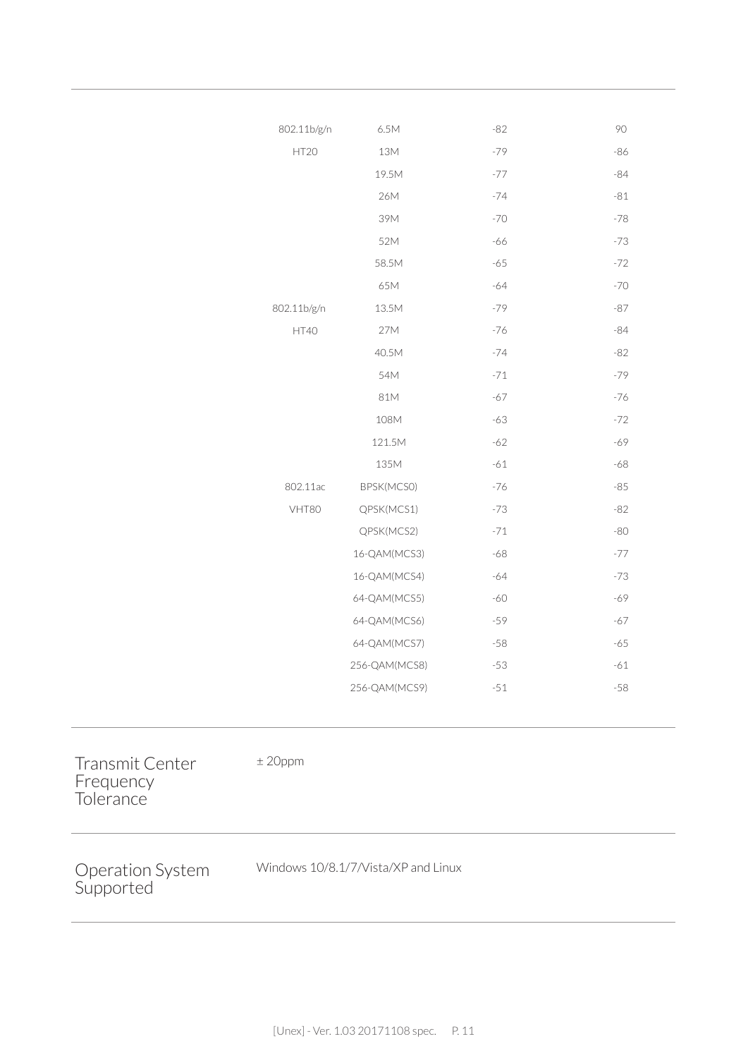| 802.11b/g/n | 6.5M          | $-82$ | 90    |
|-------------|---------------|-------|-------|
| HT20        | 13M           | $-79$ | $-86$ |
|             | 19.5M         | $-77$ | $-84$ |
|             | 26M           | $-74$ | $-81$ |
|             | 39M           | $-70$ | $-78$ |
|             | 52M           | $-66$ | $-73$ |
|             | 58.5M         | $-65$ | $-72$ |
|             | 65M           | $-64$ | $-70$ |
| 802.11b/g/n | 13.5M         | $-79$ | $-87$ |
| HT40        | 27M           | $-76$ | $-84$ |
|             | 40.5M         | $-74$ | $-82$ |
|             | 54M           | $-71$ | $-79$ |
|             | 81M           | $-67$ | $-76$ |
|             | 108M          | $-63$ | $-72$ |
|             | 121.5M        | $-62$ | -69   |
|             | 135M          | $-61$ | $-68$ |
| 802.11ac    | BPSK(MCSO)    | $-76$ | $-85$ |
| VHT80       | QPSK(MCS1)    | $-73$ | $-82$ |
|             | QPSK(MCS2)    | $-71$ | $-80$ |
|             | 16-QAM(MCS3)  | $-68$ | $-77$ |
|             | 16-QAM(MCS4)  | $-64$ | $-73$ |
|             | 64-QAM(MCS5)  | $-60$ | -69   |
|             | 64-QAM(MCS6)  | $-59$ | $-67$ |
|             | 64-QAM(MCS7)  | $-58$ | $-65$ |
|             | 256-QAM(MCS8) | $-53$ | $-61$ |
|             | 256-QAM(MCS9) | $-51$ | $-58$ |
|             |               |       |       |

Transmit Center Frequency **Tolerance** 

± 20ppm

Operation System Supported

Windows 10/8.1/7/Vista/XP and Linux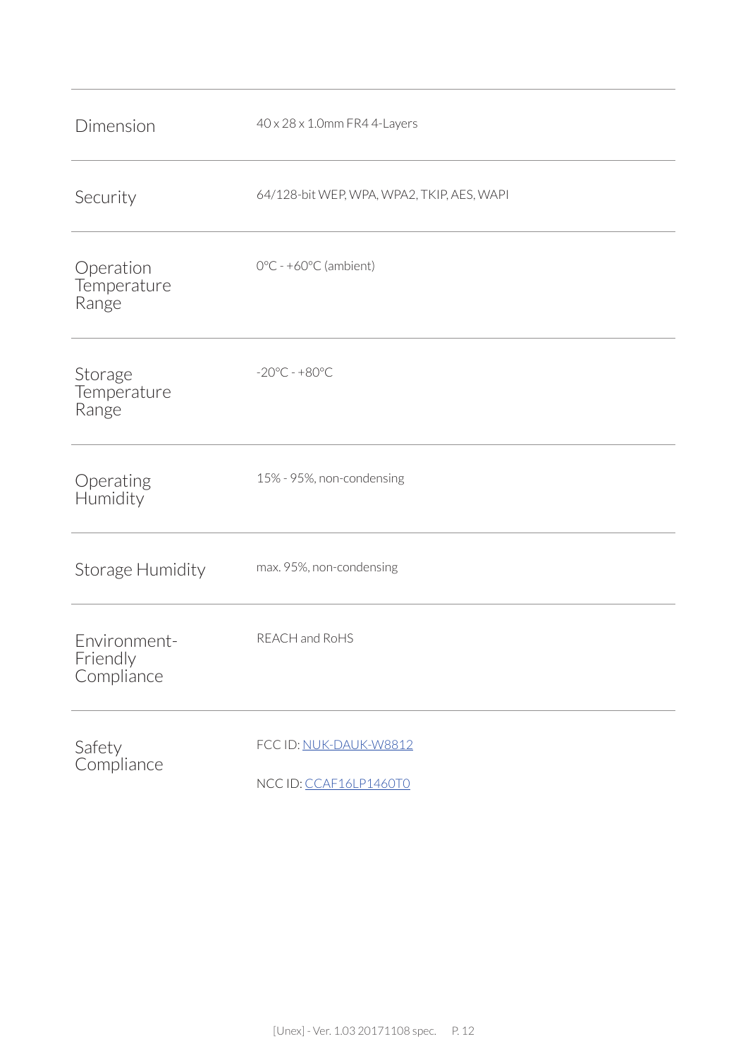| Dimension                              | 40 x 28 x 1.0mm FR4 4-Layers                    |
|----------------------------------------|-------------------------------------------------|
| Security                               | 64/128-bit WEP, WPA, WPA2, TKIP, AES, WAPI      |
| Operation<br>Temperature<br>Range      | $0^{\circ}$ C - +60 $^{\circ}$ C (ambient)      |
| Storage<br>Temperature<br>Range        | $-20^{\circ}$ C - $+80^{\circ}$ C               |
| Operating<br>Humidity                  | 15% - 95%, non-condensing                       |
| Storage Humidity                       | max. 95%, non-condensing                        |
| Environment-<br>Friendly<br>Compliance | REACH and RoHS                                  |
| Safety<br>Compliance                   | FCC ID: NUK-DAUK-W8812<br>NCCID: CCAF16LP1460T0 |